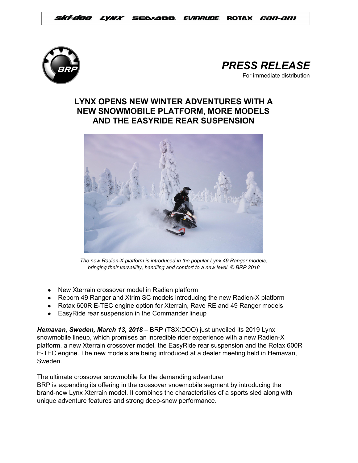



# **LYNX OPENS NEW WINTER ADVENTURES WITH A NEW SNOWMOBILE PLATFORM, MORE MODELS AND THE EASYRIDE REAR SUSPENSION**



*The new Radien-X platform is introduced in the popular Lynx 49 Ranger models, bringing their versatility, handling and comfort to a new level. © BRP 2018*

- New Xterrain crossover model in Radien platform
- Reborn 49 Ranger and Xtrim SC models introducing the new Radien-X platform
- Rotax 600R E-TEC engine option for Xterrain, Rave RE and 49 Ranger models
- EasyRide rear suspension in the Commander lineup

*Hemavan, Sweden, March 13, 2018* – BRP (TSX:DOO) just unveiled its 2019 Lynx snowmobile lineup, which promises an incredible rider experience with a new Radien-X platform, a new Xterrain crossover model, the EasyRide rear suspension and the Rotax 600R E-TEC engine. The new models are being introduced at a dealer meeting held in Hemavan, Sweden.

## The ultimate crossover snowmobile for the demanding adventurer

BRP is expanding its offering in the crossover snowmobile segment by introducing the brand-new Lynx Xterrain model. It combines the characteristics of a sports sled along with unique adventure features and strong deep-snow performance.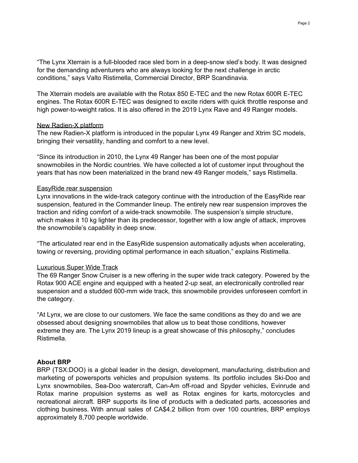"The Lynx Xterrain is a full-blooded race sled born in a deep-snow sled's body. It was designed for the demanding adventurers who are always looking for the next challenge in arctic conditions," says Valto Ristimella, Commercial Director, BRP Scandinavia.

The Xterrain models are available with the Rotax 850 E-TEC and the new Rotax 600R E-TEC engines. The Rotax 600R E-TEC was designed to excite riders with quick throttle response and high power-to-weight ratios. It is also offered in the 2019 Lynx Rave and 49 Ranger models.

#### New Radien-X platform

The new Radien-X platform is introduced in the popular Lynx 49 Ranger and Xtrim SC models, bringing their versatility, handling and comfort to a new level.

"Since its introduction in 2010, the Lynx 49 Ranger has been one of the most popular snowmobiles in the Nordic countries. We have collected a lot of customer input throughout the years that has now been materialized in the brand new 49 Ranger models," says Ristimella.

#### EasyRide rear suspension

Lynx innovations in the wide-track category continue with the introduction of the EasyRide rear suspension, featured in the Commander lineup. The entirely new rear suspension improves the traction and riding comfort of a wide-track snowmobile. The suspension's simple structure, which makes it 10 kg lighter than its predecessor, together with a low angle of attack, improves the snowmobile's capability in deep snow.

"The articulated rear end in the EasyRide suspension automatically adjusts when accelerating, towing or reversing, providing optimal performance in each situation," explains Ristimella.

#### Luxurious Super Wide Track

The 69 Ranger Snow Cruiser is a new offering in the super wide track category. Powered by the Rotax 900 ACE engine and equipped with a heated 2-up seat, an electronically controlled rear suspension and a studded 600-mm wide track, this snowmobile provides unforeseen comfort in the category.

"At Lynx, we are close to our customers. We face the same conditions as they do and we are obsessed about designing snowmobiles that allow us to beat those conditions, however extreme they are. The Lynx 2019 lineup is a great showcase of this philosophy," concludes Ristimella.

### **About BRP**

BRP (TSX:DOO) is a global leader in the design, development, manufacturing, distribution and marketing of powersports vehicles and propulsion systems. Its portfolio includes Ski-Doo and Lynx snowmobiles, Sea-Doo watercraft, Can-Am off-road and Spyder vehicles, Evinrude and Rotax marine propulsion systems as well as Rotax engines for karts, motorcycles and recreational aircraft. BRP supports its line of products with a dedicated parts, accessories and clothing business. With annual sales of CA\$4.2 billion from over 100 countries, BRP employs approximately 8,700 people worldwide.